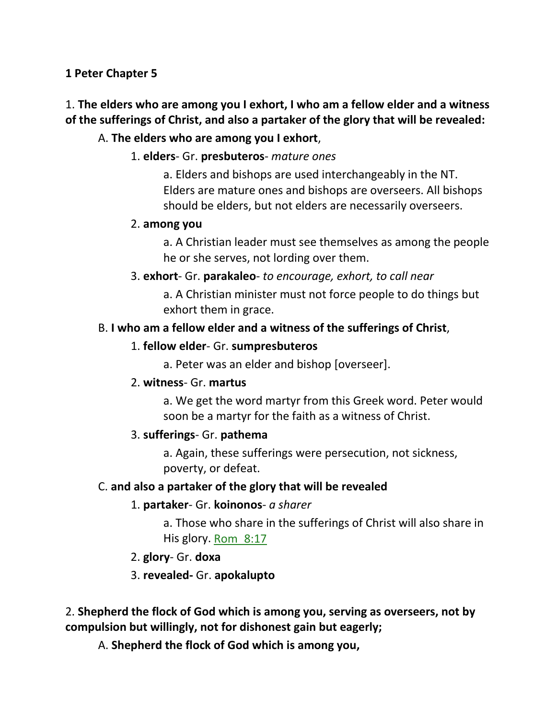#### **1 Peter Chapter 5**

# 1. **The elders who are among you I exhort, I who am a fellow elder and a witness of the sufferings of Christ, and also a partaker of the glory that will be revealed:**

## A. **The elders who are among you I exhort**,

## 1. **elders**- Gr. **presbuteros**- *mature ones*

a. Elders and bishops are used interchangeably in the NT. Elders are mature ones and bishops are overseers. All bishops should be elders, but not elders are necessarily overseers.

#### 2. **among you**

a. A Christian leader must see themselves as among the people he or she serves, not lording over them.

#### 3. **exhort**- Gr. **parakaleo**- *to encourage, exhort, to call near*

a. A Christian minister must not force people to do things but exhort them in grace.

#### B. **I who am a fellow elder and a witness of the sufferings of Christ**,

#### 1. **fellow elder**- Gr. **sumpresbuteros**

a. Peter was an elder and bishop [overseer].

#### 2. **witness**- Gr. **martus**

a. We get the word martyr from this Greek word. Peter would soon be a martyr for the faith as a witness of Christ.

## 3. **sufferings**- Gr. **pathema**

a. Again, these sufferings were persecution, not sickness, poverty, or defeat.

## C. **and also a partaker of the glory that will be revealed**

## 1. **partaker**- Gr. **koinonos**- *a sharer*

a. Those who share in the sufferings of Christ will also share in His glory. Rom\_8:17

## 2. **glory**- Gr. **doxa**

## 3. **revealed-** Gr. **apokalupto**

2. **Shepherd the flock of God which is among you, serving as overseers, not by compulsion but willingly, not for dishonest gain but eagerly;** 

A. **Shepherd the flock of God which is among you,**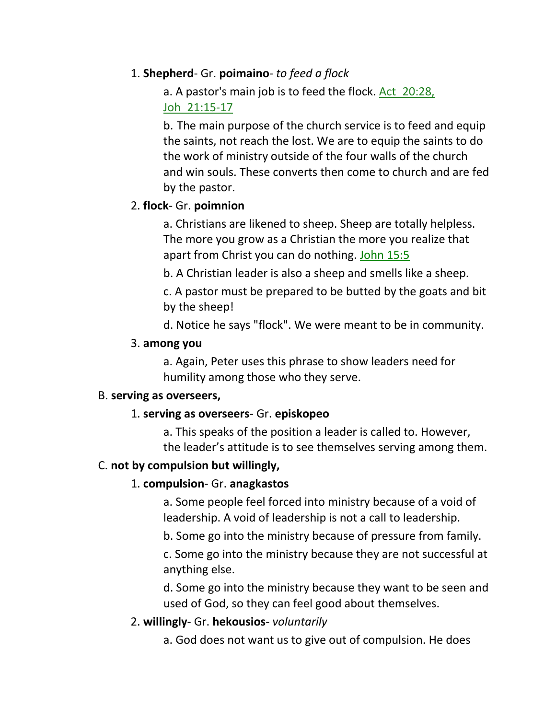## 1. **Shepherd**- Gr. **poimaino**- *to feed a flock*

# a. A pastor's main job is to feed the flock. Act\_20:28, Joh\_21:15-17

b. The main purpose of the church service is to feed and equip the saints, not reach the lost. We are to equip the saints to do the work of ministry outside of the four walls of the church and win souls. These converts then come to church and are fed by the pastor.

## 2. **flock**- Gr. **poimnion**

a. Christians are likened to sheep. Sheep are totally helpless. The more you grow as a Christian the more you realize that apart from Christ you can do nothing. John 15:5

b. A Christian leader is also a sheep and smells like a sheep.

c. A pastor must be prepared to be butted by the goats and bit by the sheep!

d. Notice he says "flock". We were meant to be in community.

## 3. **among you**

a. Again, Peter uses this phrase to show leaders need for humility among those who they serve.

#### B. **serving as overseers,**

## 1. **serving as overseers**- Gr. **episkopeo**

a. This speaks of the position a leader is called to. However, the leader's attitude is to see themselves serving among them.

## C. **not by compulsion but willingly,**

# 1. **compulsion**- Gr. **anagkastos**

a. Some people feel forced into ministry because of a void of leadership. A void of leadership is not a call to leadership.

b. Some go into the ministry because of pressure from family.

c. Some go into the ministry because they are not successful at anything else.

d. Some go into the ministry because they want to be seen and used of God, so they can feel good about themselves.

# 2. **willingly**- Gr. **hekousios**- *voluntarily*

a. God does not want us to give out of compulsion. He does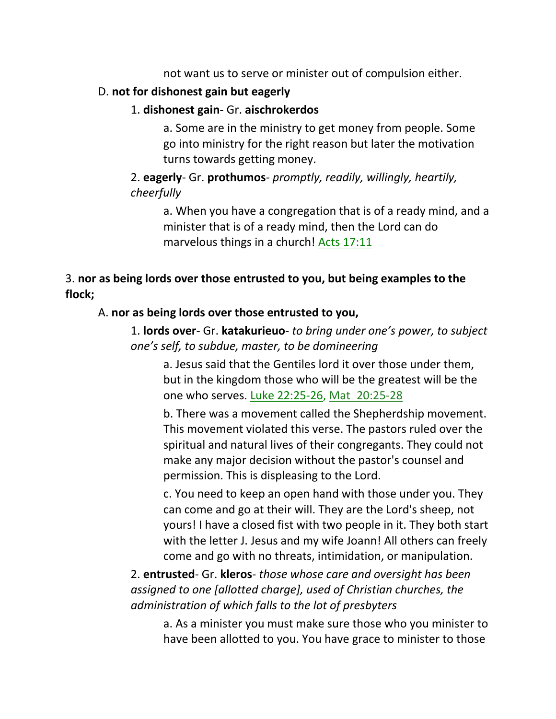not want us to serve or minister out of compulsion either.

## D. **not for dishonest gain but eagerly**

# 1. **dishonest gain**- Gr. **aischrokerdos**

a. Some are in the ministry to get money from people. Some go into ministry for the right reason but later the motivation turns towards getting money.

# 2. **eagerly**- Gr. **prothumos**- *promptly, readily, willingly, heartily, cheerfully*

a. When you have a congregation that is of a ready mind, and a minister that is of a ready mind, then the Lord can do marvelous things in a church! Acts 17:11

# 3. **nor as being lords over those entrusted to you, but being examples to the flock;**

## A. **nor as being lords over those entrusted to you,**

1. **lords over**- Gr. **katakurieuo**- *to bring under one's power, to subject one's self, to subdue, master, to be domineering*

a. Jesus said that the Gentiles lord it over those under them, but in the kingdom those who will be the greatest will be the one who serves. Luke 22:25-26, Mat 20:25-28

b. There was a movement called the Shepherdship movement. This movement violated this verse. The pastors ruled over the spiritual and natural lives of their congregants. They could not make any major decision without the pastor's counsel and permission. This is displeasing to the Lord.

c. You need to keep an open hand with those under you. They can come and go at their will. They are the Lord's sheep, not yours! I have a closed fist with two people in it. They both start with the letter J. Jesus and my wife Joann! All others can freely come and go with no threats, intimidation, or manipulation.

2. **entrusted**- Gr. **kleros**- *those whose care and oversight has been assigned to one [allotted charge], used of Christian churches, the administration of which falls to the lot of presbyters*

a. As a minister you must make sure those who you minister to have been allotted to you. You have grace to minister to those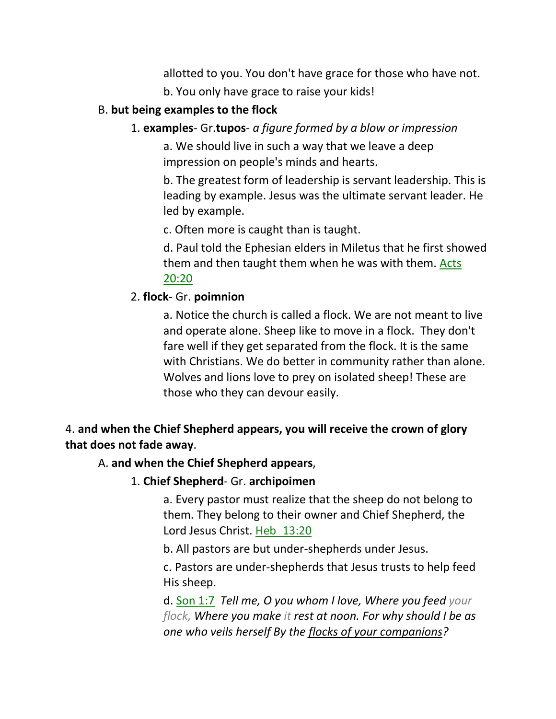allotted to you. You don't have grace for those who have not. b. You only have grace to raise your kids!

## B. **but being examples to the flock**

## 1. **examples**- Gr.**tupos**- *a figure formed by a blow or impression*

a. We should live in such a way that we leave a deep impression on people's minds and hearts.

b. The greatest form of leadership is servant leadership. This is leading by example. Jesus was the ultimate servant leader. He led by example.

c. Often more is caught than is taught.

d. Paul told the Ephesian elders in Miletus that he first showed them and then taught them when he was with them. Acts 20:20

## 2. **flock**- Gr. **poimnion**

a. Notice the church is called a flock. We are not meant to live and operate alone. Sheep like to move in a flock. They don't fare well if they get separated from the flock. It is the same with Christians. We do better in community rather than alone. Wolves and lions love to prey on isolated sheep! These are those who they can devour easily.

# 4. **and when the Chief Shepherd appears, you will receive the crown of glory that does not fade away**.

## A. **and when the Chief Shepherd appears**,

## 1. **Chief Shepherd**- Gr. **archipoimen**

a. Every pastor must realize that the sheep do not belong to them. They belong to their owner and Chief Shepherd, the Lord Jesus Christ. Heb\_13:20

b. All pastors are but under-shepherds under Jesus.

c. Pastors are under-shepherds that Jesus trusts to help feed His sheep.

d. Son 1:7 *Tell me, O you whom I love, Where you feed your flock, Where you make it rest at noon. For why should I be as one who veils herself By the flocks of your companions?*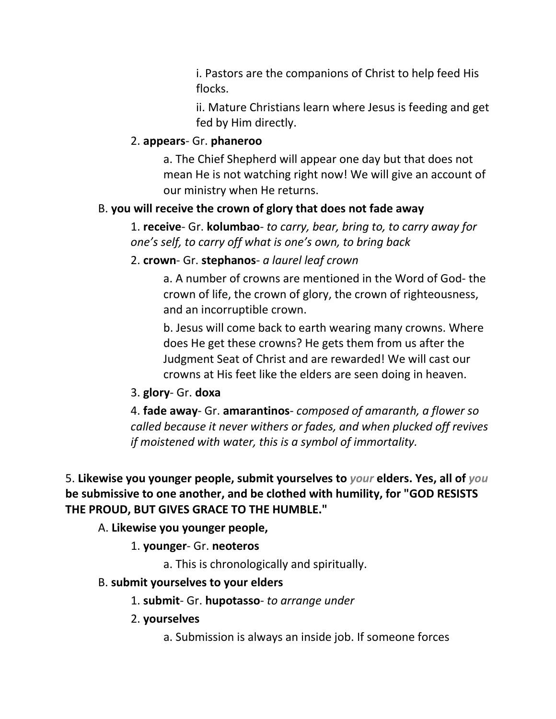i. Pastors are the companions of Christ to help feed His flocks.

ii. Mature Christians learn where Jesus is feeding and get fed by Him directly.

#### 2. **appears**- Gr. **phaneroo**

a. The Chief Shepherd will appear one day but that does not mean He is not watching right now! We will give an account of our ministry when He returns.

#### B. **you will receive the crown of glory that does not fade away**

1. **receive**- Gr. **kolumbao**- *to carry, bear, bring to, to carry away for one's self, to carry off what is one's own, to bring back*

#### 2. **crown**- Gr. **stephanos**- *a laurel leaf crown*

a. A number of crowns are mentioned in the Word of God- the crown of life, the crown of glory, the crown of righteousness, and an incorruptible crown.

b. Jesus will come back to earth wearing many crowns. Where does He get these crowns? He gets them from us after the Judgment Seat of Christ and are rewarded! We will cast our crowns at His feet like the elders are seen doing in heaven.

#### 3. **glory**- Gr. **doxa**

4. **fade away**- Gr. **amarantinos**- *composed of amaranth, a flower so called because it never withers or fades, and when plucked off revives if moistened with water, this is a symbol of immortality.*

5. **Likewise you younger people, submit yourselves to** *your* **elders. Yes, all of** *you* **be submissive to one another, and be clothed with humility, for "GOD RESISTS THE PROUD, BUT GIVES GRACE TO THE HUMBLE."** 

A. **Likewise you younger people,**

1. **younger**- Gr. **neoteros**

a. This is chronologically and spiritually.

#### B. **submit yourselves to your elders**

1. **submit**- Gr. **hupotasso**- *to arrange under*

- 2. **yourselves**
	- a. Submission is always an inside job. If someone forces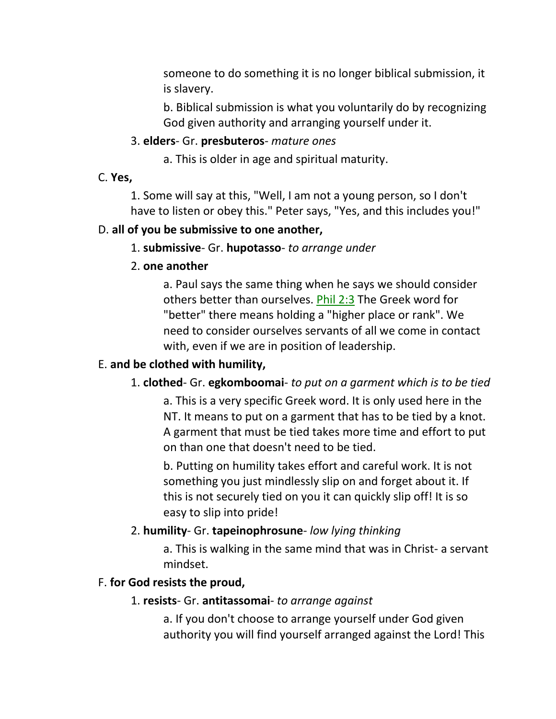someone to do something it is no longer biblical submission, it is slavery.

b. Biblical submission is what you voluntarily do by recognizing God given authority and arranging yourself under it.

#### 3. **elders**- Gr. **presbuteros**- *mature ones*

a. This is older in age and spiritual maturity.

C. **Yes,**

1. Some will say at this, "Well, I am not a young person, so I don't have to listen or obey this." Peter says, "Yes, and this includes you!"

#### D. **all of you be submissive to one another,**

1. **submissive**- Gr. **hupotasso**- *to arrange under*

2. **one another**

a. Paul says the same thing when he says we should consider others better than ourselves. Phil 2:3 The Greek word for "better" there means holding a "higher place or rank". We need to consider ourselves servants of all we come in contact with, even if we are in position of leadership.

#### E. **and be clothed with humility,**

#### 1. **clothed**- Gr. **egkomboomai**- *to put on a garment which is to be tied*

a. This is a very specific Greek word. It is only used here in the NT. It means to put on a garment that has to be tied by a knot. A garment that must be tied takes more time and effort to put on than one that doesn't need to be tied.

b. Putting on humility takes effort and careful work. It is not something you just mindlessly slip on and forget about it. If this is not securely tied on you it can quickly slip off! It is so easy to slip into pride!

#### 2. **humility**- Gr. **tapeinophrosune**- *low lying thinking*

a. This is walking in the same mind that was in Christ- a servant mindset.

#### F. **for God resists the proud,**

#### 1. **resists**- Gr. **antitassomai**- *to arrange against*

a. If you don't choose to arrange yourself under God given authority you will find yourself arranged against the Lord! This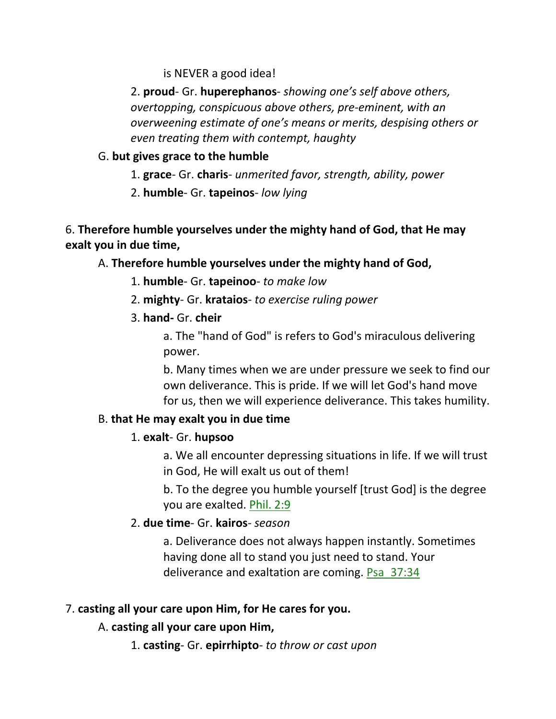is NEVER a good idea!

2. **proud**- Gr. **huperephanos**- *showing one's self above others, overtopping, conspicuous above others, pre-eminent, with an overweening estimate of one's means or merits, despising others or even treating them with contempt, haughty*

# G. **but gives grace to the humble**

- 1. **grace** Gr. **charis** *unmerited favor, strength, ability, power*
- 2. **humble** Gr. **tapeinos** *low lying*

# 6. **Therefore humble yourselves under the mighty hand of God, that He may exalt you in due time,**

# A. **Therefore humble yourselves under the mighty hand of God,**

- 1. **humble** Gr. **tapeinoo** *to make low*
- 2. **mighty** Gr. **krataios** *to exercise ruling power*
- 3. **hand-** Gr. **cheir**

a. The "hand of God" is refers to God's miraculous delivering power.

b. Many times when we are under pressure we seek to find our own deliverance. This is pride. If we will let God's hand move for us, then we will experience deliverance. This takes humility.

# B. **that He may exalt you in due time**

# 1. **exalt**- Gr. **hupsoo**

a. We all encounter depressing situations in life. If we will trust in God, He will exalt us out of them!

b. To the degree you humble yourself [trust God] is the degree you are exalted. Phil. 2:9

# 2. **due time**- Gr. **kairos**- *season*

a. Deliverance does not always happen instantly. Sometimes having done all to stand you just need to stand. Your deliverance and exaltation are coming. Psa 37:34

# 7. **casting all your care upon Him, for He cares for you.**

# A. **casting all your care upon Him,**

1. **casting**- Gr. **epirrhipto**- *to throw or cast upon*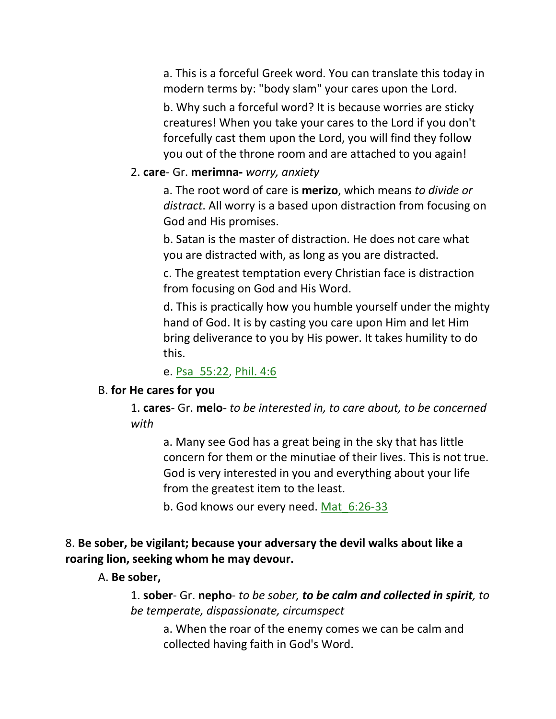a. This is a forceful Greek word. You can translate this today in modern terms by: "body slam" your cares upon the Lord.

b. Why such a forceful word? It is because worries are sticky creatures! When you take your cares to the Lord if you don't forcefully cast them upon the Lord, you will find they follow you out of the throne room and are attached to you again!

#### 2. **care**- Gr. **merimna-** *worry, anxiety*

a. The root word of care is **merizo**, which means *to divide or distract*. All worry is a based upon distraction from focusing on God and His promises.

b. Satan is the master of distraction. He does not care what you are distracted with, as long as you are distracted.

c. The greatest temptation every Christian face is distraction from focusing on God and His Word.

d. This is practically how you humble yourself under the mighty hand of God. It is by casting you care upon Him and let Him bring deliverance to you by His power. It takes humility to do this.

e. Psa\_55:22, Phil. 4:6

#### B. **for He cares for you**

1. **cares**- Gr. **melo**- *to be interested in, to care about, to be concerned with*

a. Many see God has a great being in the sky that has little concern for them or the minutiae of their lives. This is not true. God is very interested in you and everything about your life from the greatest item to the least.

b. God knows our every need. Mat\_6:26-33

## 8. **Be sober, be vigilant; because your adversary the devil walks about like a roaring lion, seeking whom he may devour.**

A. **Be sober,**

1. **sober**- Gr. **nepho**- *to be sober, to be calm and collected in spirit, to be temperate, dispassionate, circumspect*

a. When the roar of the enemy comes we can be calm and collected having faith in God's Word.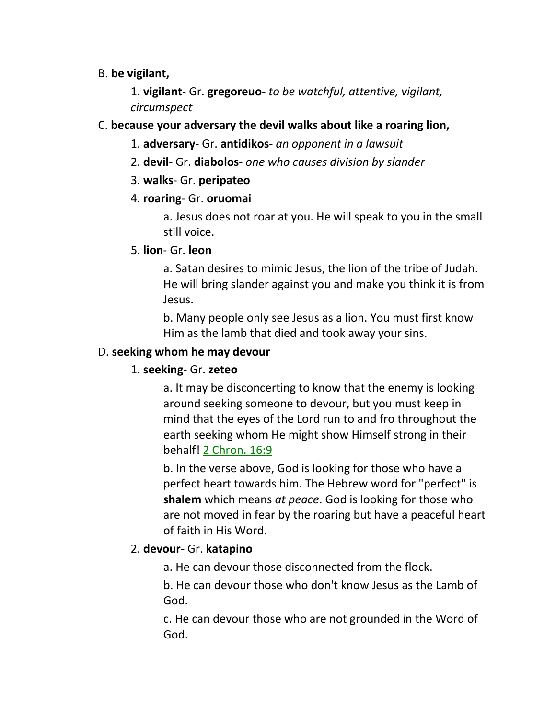## B. **be vigilant,**

1. **vigilant**- Gr. **gregoreuo**- *to be watchful, attentive, vigilant, circumspect*

# C. **because your adversary the devil walks about like a roaring lion,**

- 1. **adversary** Gr. **antidikos** *an opponent in a lawsuit*
- 2. **devil** Gr. **diabolos** *one who causes division by slander*
- 3. **walks** Gr. **peripateo**
- 4. **roaring** Gr. **oruomai**

a. Jesus does not roar at you. He will speak to you in the small still voice.

# 5. **lion**- Gr. **leon**

a. Satan desires to mimic Jesus, the lion of the tribe of Judah. He will bring slander against you and make you think it is from Jesus.

b. Many people only see Jesus as a lion. You must first know Him as the lamb that died and took away your sins.

# D. **seeking whom he may devour**

# 1. **seeking**- Gr. **zeteo**

a. It may be disconcerting to know that the enemy is looking around seeking someone to devour, but you must keep in mind that the eyes of the Lord run to and fro throughout the earth seeking whom He might show Himself strong in their behalf! 2 Chron. 16:9

b. In the verse above, God is looking for those who have a perfect heart towards him. The Hebrew word for "perfect" is **shalem** which means *at peace*. God is looking for those who are not moved in fear by the roaring but have a peaceful heart of faith in His Word.

# 2. **devour-** Gr. **katapino**

a. He can devour those disconnected from the flock.

b. He can devour those who don't know Jesus as the Lamb of God.

c. He can devour those who are not grounded in the Word of God.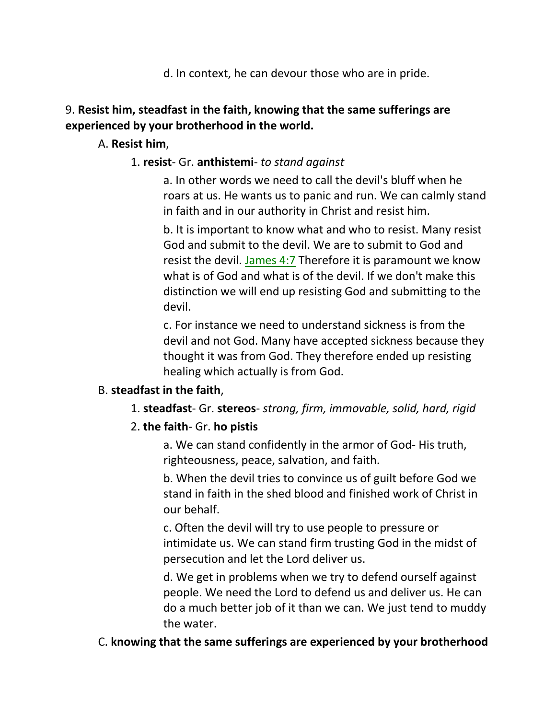d. In context, he can devour those who are in pride.

# 9. **Resist him, steadfast in the faith, knowing that the same sufferings are experienced by your brotherhood in the world.**

## A. **Resist him**,

## 1. **resist**- Gr. **anthistemi**- *to stand against*

a. In other words we need to call the devil's bluff when he roars at us. He wants us to panic and run. We can calmly stand in faith and in our authority in Christ and resist him.

b. It is important to know what and who to resist. Many resist God and submit to the devil. We are to submit to God and resist the devil. James 4:7 Therefore it is paramount we know what is of God and what is of the devil. If we don't make this distinction we will end up resisting God and submitting to the devil.

c. For instance we need to understand sickness is from the devil and not God. Many have accepted sickness because they thought it was from God. They therefore ended up resisting healing which actually is from God.

## B. **steadfast in the faith**,

1. **steadfast**- Gr. **stereos**- *strong, firm, immovable, solid, hard, rigid*

## 2. **the faith**- Gr. **ho pistis**

a. We can stand confidently in the armor of God- His truth, righteousness, peace, salvation, and faith.

b. When the devil tries to convince us of guilt before God we stand in faith in the shed blood and finished work of Christ in our behalf.

c. Often the devil will try to use people to pressure or intimidate us. We can stand firm trusting God in the midst of persecution and let the Lord deliver us.

d. We get in problems when we try to defend ourself against people. We need the Lord to defend us and deliver us. He can do a much better job of it than we can. We just tend to muddy the water.

## C. **knowing that the same sufferings are experienced by your brotherhood**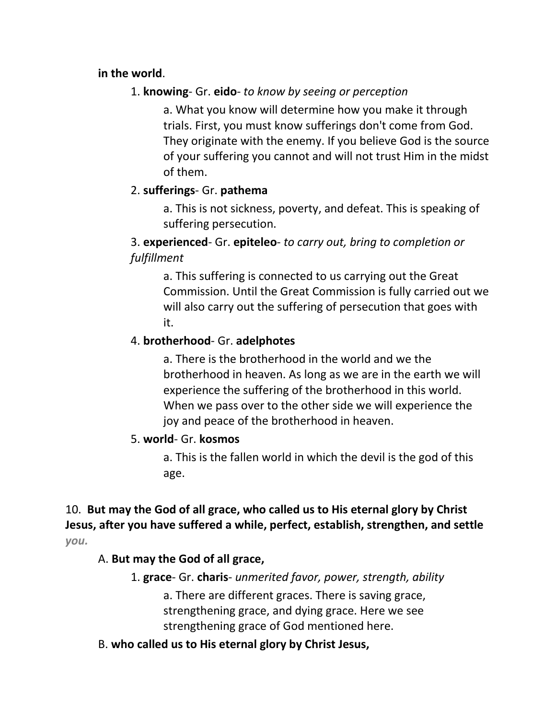## **in the world**.

# 1. **knowing**- Gr. **eido**- *to know by seeing or perception*

a. What you know will determine how you make it through trials. First, you must know sufferings don't come from God. They originate with the enemy. If you believe God is the source of your suffering you cannot and will not trust Him in the midst of them.

# 2. **sufferings**- Gr. **pathema**

a. This is not sickness, poverty, and defeat. This is speaking of suffering persecution.

# 3. **experienced**- Gr. **epiteleo**- *to carry out, bring to completion or fulfillment*

a. This suffering is connected to us carrying out the Great Commission. Until the Great Commission is fully carried out we will also carry out the suffering of persecution that goes with it.

# 4. **brotherhood**- Gr. **adelphotes**

a. There is the brotherhood in the world and we the brotherhood in heaven. As long as we are in the earth we will experience the suffering of the brotherhood in this world. When we pass over to the other side we will experience the joy and peace of the brotherhood in heaven.

# 5. **world**- Gr. **kosmos**

a. This is the fallen world in which the devil is the god of this age.

# 10. **But may the God of all grace, who called us to His eternal glory by Christ Jesus, after you have suffered a while, perfect, establish, strengthen, and settle**  *you.*

# A. **But may the God of all grace,**

- 1. **grace** Gr. **charis** *unmerited favor, power, strength, ability*
	- a. There are different graces. There is saving grace, strengthening grace, and dying grace. Here we see strengthening grace of God mentioned here.
- B. **who called us to His eternal glory by Christ Jesus,**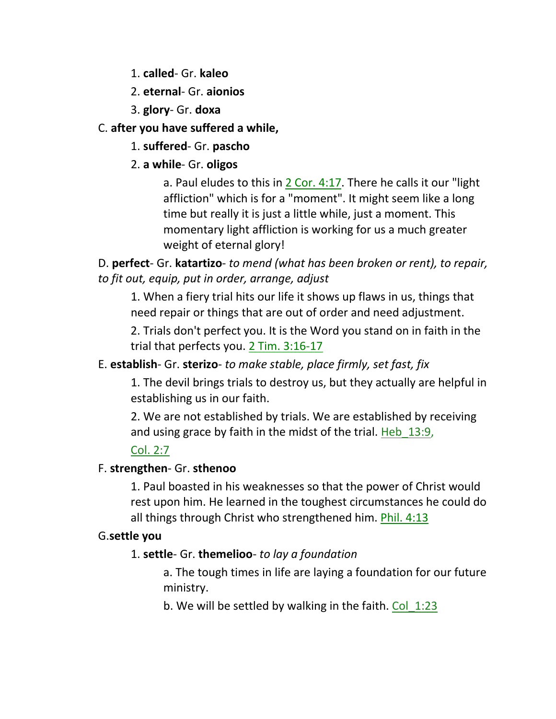1. **called**- Gr. **kaleo**

# 2. **eternal**- Gr. **aionios**

3. **glory**- Gr. **doxa**

# C. **after you have suffered a while,**

# 1. **suffered**- Gr. **pascho**

# 2. **a while**- Gr. **oligos**

a. Paul eludes to this in 2 Cor. 4:17. There he calls it our "light affliction" which is for a "moment". It might seem like a long time but really it is just a little while, just a moment. This momentary light affliction is working for us a much greater weight of eternal glory!

D. **perfect**- Gr. **katartizo**- *to mend (what has been broken or rent), to repair, to fit out, equip, put in order, arrange, adjust*

1. When a fiery trial hits our life it shows up flaws in us, things that need repair or things that are out of order and need adjustment.

2. Trials don't perfect you. It is the Word you stand on in faith in the trial that perfects you. 2 Tim. 3:16-17

# E. **establish**- Gr. **sterizo**- *to make stable, place firmly, set fast, fix*

1. The devil brings trials to destroy us, but they actually are helpful in establishing us in our faith.

2. We are not established by trials. We are established by receiving and using grace by faith in the midst of the trial. Heb 13:9,

# Col. 2:7

# F. **strengthen**- Gr. **sthenoo**

1. Paul boasted in his weaknesses so that the power of Christ would rest upon him. He learned in the toughest circumstances he could do all things through Christ who strengthened him. Phil. 4:13

# G.**settle you**

# 1. **settle**- Gr. **themelioo**- *to lay a foundation*

a. The tough times in life are laying a foundation for our future ministry.

b. We will be settled by walking in the faith. Col 1:23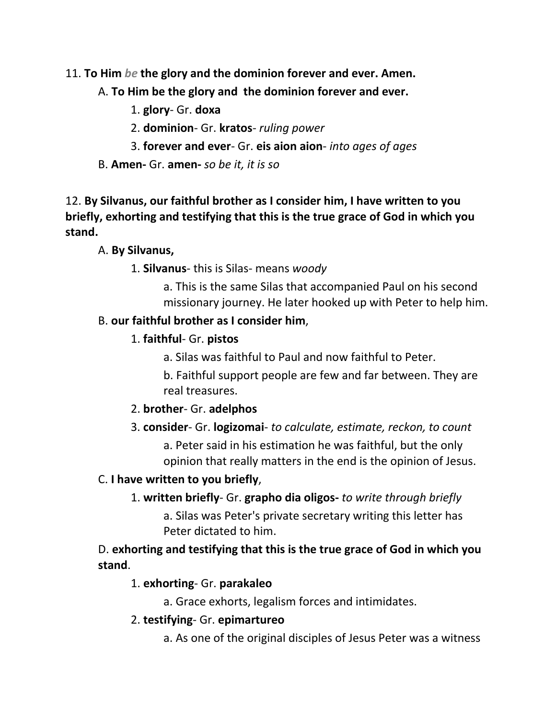- 11. **To Him** *be* **the glory and the dominion forever and ever. Amen.** 
	- A. **To Him be the glory and the dominion forever and ever.**
		- 1. **glory** Gr. **doxa**
		- 2. **dominion** Gr. **kratos** *ruling power*
		- 3. **forever and ever** Gr. **eis aion aion** *into ages of ages*
	- B. **Amen-** Gr. **amen-** *so be it, it is so*

12. **By Silvanus, our faithful brother as I consider him, I have written to you briefly, exhorting and testifying that this is the true grace of God in which you stand.**

## A. **By Silvanus,**

## 1. **Silvanus**- this is Silas- means *woody*

a. This is the same Silas that accompanied Paul on his second missionary journey. He later hooked up with Peter to help him.

## B. **our faithful brother as I consider him**,

# 1. **faithful**- Gr. **pistos**

a. Silas was faithful to Paul and now faithful to Peter.

b. Faithful support people are few and far between. They are real treasures.

## 2. **brother**- Gr. **adelphos**

# 3. **consider**- Gr. **logizomai**- *to calculate, estimate, reckon, to count*

a. Peter said in his estimation he was faithful, but the only opinion that really matters in the end is the opinion of Jesus.

# C. **I have written to you briefly**,

1. **written briefly**- Gr. **grapho dia oligos-** *to write through briefly* 

a. Silas was Peter's private secretary writing this letter has Peter dictated to him.

# D. **exhorting and testifying that this is the true grace of God in which you stand**.

# 1. **exhorting**- Gr. **parakaleo**

a. Grace exhorts, legalism forces and intimidates.

- 2. **testifying** Gr. **epimartureo**
	- a. As one of the original disciples of Jesus Peter was a witness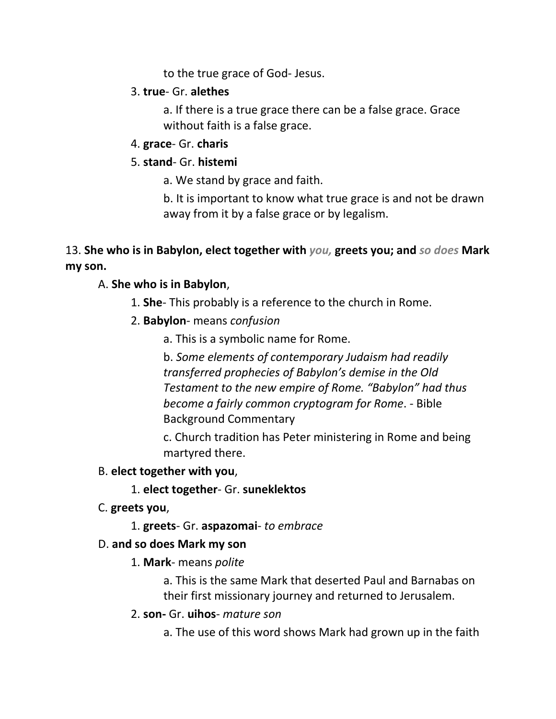to the true grace of God- Jesus.

## 3. **true**- Gr. **alethes**

a. If there is a true grace there can be a false grace. Grace without faith is a false grace.

4. **grace**- Gr. **charis**

## 5. **stand**- Gr. **histemi**

a. We stand by grace and faith.

b. It is important to know what true grace is and not be drawn away from it by a false grace or by legalism.

# 13. **She who is in Babylon, elect together with** *you,* **greets you; and** *so does* **Mark my son.**

# A. **She who is in Babylon**,

- 1. **She** This probably is a reference to the church in Rome.
- 2. **Babylon** means *confusion*
	- a. This is a symbolic name for Rome.

b. *Some elements of contemporary Judaism had readily transferred prophecies of Babylon's demise in the Old Testament to the new empire of Rome. "Babylon" had thus become a fairly common cryptogram for Rome*. - Bible Background Commentary

c. Church tradition has Peter ministering in Rome and being martyred there.

## B. **elect together with you**,

- 1. **elect together** Gr. **suneklektos**
- C. **greets you**,
	- 1. **greets** Gr. **aspazomai** *to embrace*

## D. **and so does Mark my son**

1. **Mark**- means *polite*

a. This is the same Mark that deserted Paul and Barnabas on their first missionary journey and returned to Jerusalem.

2. **son-** Gr. **uihos**- *mature son*

a. The use of this word shows Mark had grown up in the faith